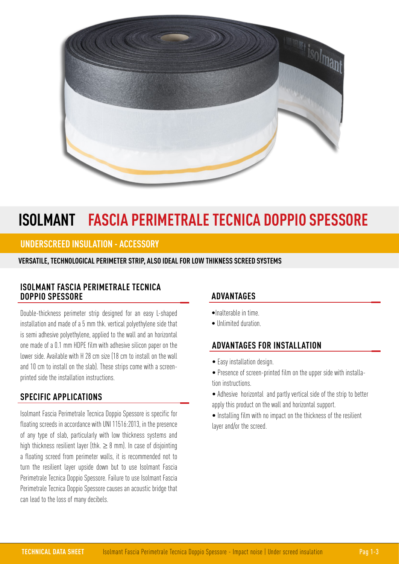

# **ISOLMANT FASCIA PERIMETRALE TECNICA DOPPIO SPESSORE**

## **UNDERSCREED INSULATION - ACCESSORY**

#### **VERSATILE, TECHNOLOGICAL PERIMETER STRIP, ALSO IDEAL FOR LOW THIKNESS SCREED SYSTEMS**

#### **ISOLMANT FASCIA PERIMETRALE TECNICA DOPPIO SPESSORE**

Double-thickness perimeter strip designed for an easy L-shaped installation and made of a 5 mm thk. vertical polyethylene side that is semi adhesive polyethylene, applied to the wall and an horizontal one made of a 0.1 mm HDPE film with adhesive silicon paper on the lower side. Available with H 28 cm size (18 cm to install on the wall and 10 cm to install on the slab). These strips come with a screenprinted side the installation instructions.

### **SPECIFIC APPLICATIONS**

Isolmant Fascia Perimetrale Tecnica Doppio Spessore is specific for floating screeds in accordance with UNI 11516:2013, in the presence of any type of slab, particularly with low thickness systems and high thickness resilient layer (thk.  $\geq 8$  mm). In case of disjointing a floating screed from perimeter walls, it is recommended not to turn the resilient layer upside down but to use Isolmant Fascia Perimetrale Tecnica Doppio Spessore. Failure to use Isolmant Fascia Perimetrale Tecnica Doppio Spessore causes an acoustic bridge that can lead to the loss of many decibels.

# **ADVANTAGES**

- •Inalterable in time.
- Unlimited duration.

### **ADVANTAGES FOR INSTALLATION**

- Easy installation design.
- Presence of screen-printed film on the upper side with installation instructions.
- Adhesive horizontal and partly vertical side of the strip to better apply this product on the wall and horizontal support.
- Installing film with no impact on the thickness of the resilient layer and/or the screed.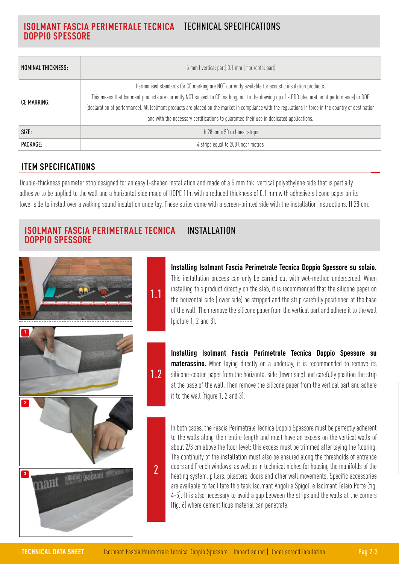# **ISOLMANT FASCIA PERIMETRALE TECNICA**  TECHNICAL SPECIFICATIONS **DOPPIO SPESSORE**

| NOMINAL THICKNESS: | 5 mm (vertical part) 0.1 mm (horizontal part)                                                                                                                                                                                                                                                                                                                                                                                                                                                           |
|--------------------|---------------------------------------------------------------------------------------------------------------------------------------------------------------------------------------------------------------------------------------------------------------------------------------------------------------------------------------------------------------------------------------------------------------------------------------------------------------------------------------------------------|
| CE MARKING:        | Harmonised standards for CE marking are NOT currently available for acoustic insulation products.<br>This means that Isolmant products are currently NOT subject to CE marking, nor to the drawing up of a PDO (declaration of performance) or DDP<br>(declaration of performance). All Isolmant products are placed on the market in compliance with the regulations in force in the country of destination<br>and with the necessary certifications to guarantee their use in dedicated applications. |
| SIZE:              | h 28 cm x 50 m linear strips                                                                                                                                                                                                                                                                                                                                                                                                                                                                            |
| PACKAGE:           | 4 strips equal to 200 linear metres                                                                                                                                                                                                                                                                                                                                                                                                                                                                     |

# **ITEM SPECIFICATIONS**

Double-thickness perimeter strip designed for an easy L-shaped installation and made of a 5 mm thk. vertical polyethylene side that is partially adhesive to be applied to the wall and a horizontal side made of HDPE film with a reduced thickness of 0.1 mm with adhesive silicone paper on its lower side to install over a walking sound insulation underlay. These strips come with a screen-printed side with the installation instructions. H 28 cm.

#### **ISOLMANT FASCIA PERIMETRALE TECNICA DOPPIO SPESSORE INSTALLATION**

1.1

1.2

2



## **Installing Isolmant Fascia Perimetrale Tecnica Doppio Spessore su solaio.**  This installation process can only be carried out with wet-method underscreed. When installing this product directly on the slab, it is recommended that the silicone paper on the horizontal side (lower side) be stripped and the strip carefully positioned at the base of the wall. Then remove the silicone paper from the vertical part and adhere it to the wall (picture 1, 2 and 3).

**Installing Isolmant Fascia Perimetrale Tecnica Doppio Spessore su materassino.** When laying directly on a underlay, it is recommended to remove its silicone-coated paper from the horizontal side (lower side) and carefully position the strip at the base of the wall. Then remove the silicone paper from the vertical part and adhere it to the wall (figure 1, 2 and 3).

In both cases, the Fascia Perimetrale Tecnica Doppio Spessore must be perfectly adherent to the walls along their entire length and must have an excess on the vertical walls of about 2/3 cm above the floor level; this excess must be trimmed after laying the flooring. The continuity of the installation must also be ensured along the thresholds of entrance doors and French windows, as well as in technical niches for housing the manifolds of the heating system, pillars, pilasters, doors and other wall movements. Specific accessories are available to facilitate this task:Isolmant Angoli e Spigoli e Isolmant Telaio Porte (fig. 4-5). It is also necessary to avoid a gap between the strips and the walls at the corners (fig. 6) where cementitious material can penetrate.